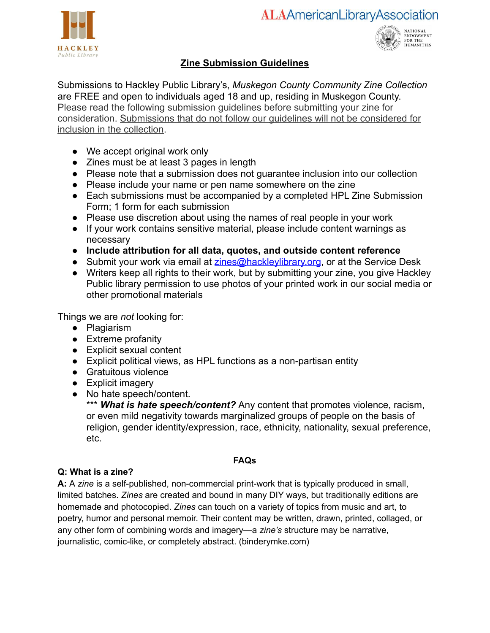



# **Zine Submission Guidelines**

Submissions to Hackley Public Library's, *Muskegon County Community Zine Collection* are FREE and open to individuals aged 18 and up, residing in Muskegon County. Please read the following submission guidelines before submitting your zine for consideration. Submissions that do not follow our guidelines will not be considered for inclusion in the collection.

- We accept original work only
- Zines must be at least 3 pages in length
- Please note that a submission does not guarantee inclusion into our collection
- Please include your name or pen name somewhere on the zine
- Each submissions must be accompanied by a completed HPL Zine Submission Form; 1 form for each submission
- Please use discretion about using the names of real people in your work
- If your work contains sensitive material, please include content warnings as necessary
- **Include attribution for all data, quotes, and outside content reference**
- Submit your work via email at zines@hackleylibrary.org, or at the Service Desk
- Writers keep all rights to their work, but by submitting your zine, you give Hackley Public library permission to use photos of your printed work in our social media or other promotional materials

Things we are *not* looking for:

- Plagiarism
- Extreme profanity
- Explicit sexual content
- Explicit political views, as HPL functions as a non-partisan entity
- Gratuitous violence
- Explicit imagery
- No hate speech/content.

\*\*\* **What is hate speech/content?** Any content that promotes violence, racism, or even mild negativity towards marginalized groups of people on the basis of religion, gender identity/expression, race, ethnicity, nationality, sexual preference, etc.

# **FAQs**

# **Q: What is a zine?**

**A:** A *zine* is a self-published, non-commercial print-work that is typically produced in small, limited batches. *Zines* are created and bound in many DIY ways, but traditionally editions are homemade and photocopied. *Zines* can touch on a variety of topics from music and art, to poetry, humor and personal memoir. Their content may be written, drawn, printed, collaged, or any other form of combining words and imagery—a *zine's* structure may be narrative, journalistic, comic-like, or completely abstract. (binderymke.com)